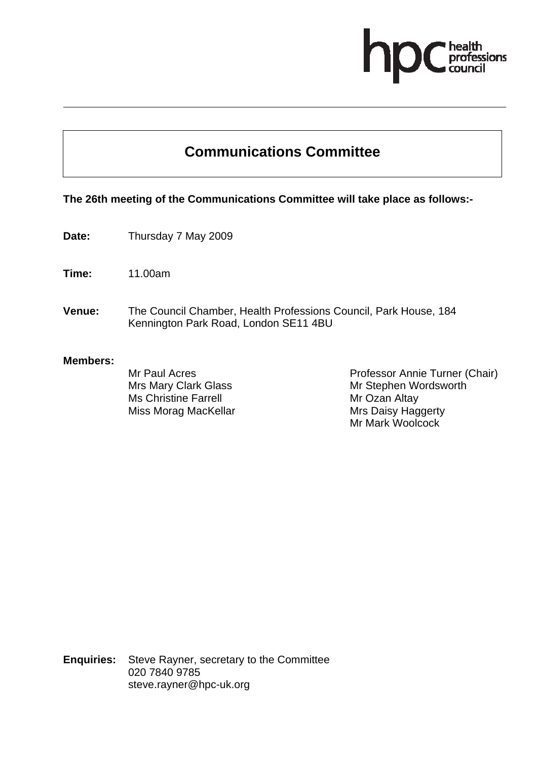# **ofessions**

# **Communications Committee**

### **The 26th meeting of the Communications Committee will take place as follows:-**

- **Date:** Thursday 7 May 2009
- **Time:** 11.00am
- **Venue:** The Council Chamber, Health Professions Council, Park House, 184 Kennington Park Road, London SE11 4BU

#### **Members:**

Mr Paul Acres Mrs Mary Clark Glass Ms Christine Farrell Miss Morag MacKellar Professor Annie Turner (Chair) Mr Stephen Wordsworth Mr Ozan Altay Mrs Daisy Haggerty Mr Mark Woolcock

**Enquiries:** Steve Rayner, secretary to the Committee 020 7840 9785 steve.rayner@hpc-uk.org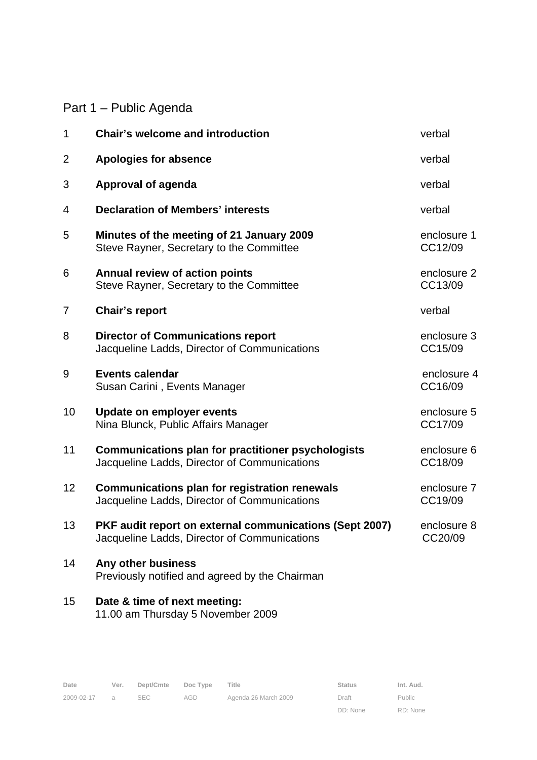# Part 1 – Public Agenda

| 1              | <b>Chair's welcome and introduction</b>                                                                   | verbal                 |
|----------------|-----------------------------------------------------------------------------------------------------------|------------------------|
| $\overline{2}$ | <b>Apologies for absence</b>                                                                              | verbal                 |
| 3              | <b>Approval of agenda</b>                                                                                 | verbal                 |
| 4              | <b>Declaration of Members' interests</b>                                                                  | verbal                 |
| 5              | Minutes of the meeting of 21 January 2009<br>Steve Rayner, Secretary to the Committee                     | enclosure 1<br>CC12/09 |
| 6              | Annual review of action points<br>Steve Rayner, Secretary to the Committee                                | enclosure 2<br>CC13/09 |
| 7              | <b>Chair's report</b>                                                                                     | verbal                 |
| 8              | <b>Director of Communications report</b><br>Jacqueline Ladds, Director of Communications                  | enclosure 3<br>CC15/09 |
| 9              | <b>Events calendar</b><br>Susan Carini, Events Manager                                                    | enclosure 4<br>CC16/09 |
| 10             | <b>Update on employer events</b><br>Nina Blunck, Public Affairs Manager                                   | enclosure 5<br>CC17/09 |
| 11             | <b>Communications plan for practitioner psychologists</b><br>Jacqueline Ladds, Director of Communications | enclosure 6<br>CC18/09 |
| 12             | <b>Communications plan for registration renewals</b><br>Jacqueline Ladds, Director of Communications      | enclosure 7<br>CC19/09 |
| 13             | PKF audit report on external communications (Sept 2007)<br>Jacqueline Ladds, Director of Communications   | enclosure 8<br>CC20/09 |
| 14             | Any other business<br>Previously notified and agreed by the Chairman                                      |                        |
| 15             | Date & time of next meeting:<br>11.00 am Thursday 5 November 2009                                         |                        |

Public RD: None

DD: None